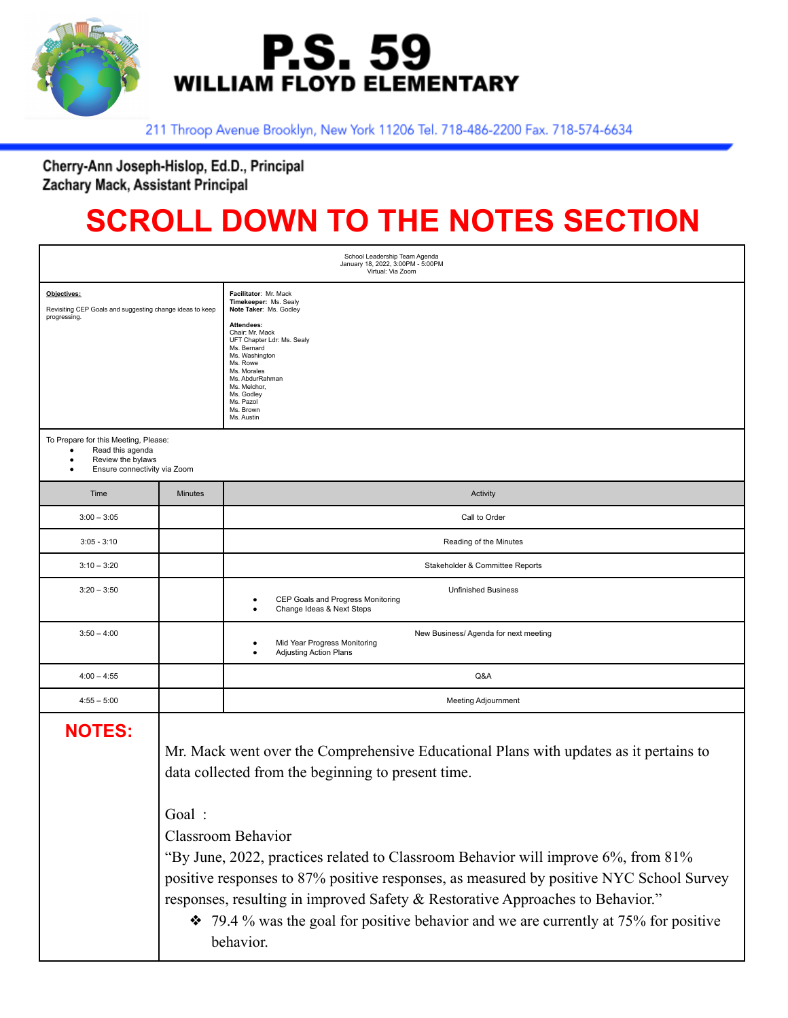

## **P.S. 59 WILLIAM FLOYD ELEMENTARY**

211 Throop Avenue Brooklyn, New York 11206 Tel. 718-486-2200 Fax. 718-574-6634

Cherry-Ann Joseph-Hislop, Ed.D., Principal Zachary Mack, Assistant Principal

## **SCROLL DOWN TO THE NOTES SECTION**

| School Leadership Team Agenda<br>January 18, 2022, 3:00PM - 5:00PM<br>Virtual: Via Zoom                       |                |                                                                                                                                                                                                                                                                                                                                                                                                                                                                                                                                                       |
|---------------------------------------------------------------------------------------------------------------|----------------|-------------------------------------------------------------------------------------------------------------------------------------------------------------------------------------------------------------------------------------------------------------------------------------------------------------------------------------------------------------------------------------------------------------------------------------------------------------------------------------------------------------------------------------------------------|
| Objectives:<br>Revisiting CEP Goals and suggesting change ideas to keep<br>progressing.                       |                | Facilitator: Mr. Mack<br>Timekeeper: Ms. Sealy<br>Note Taker: Ms. Godley<br>Attendees:<br>Chair: Mr. Mack<br>UFT Chapter Ldr: Ms. Sealy<br>Ms. Bernard<br>Ms. Washington<br>Ms. Rowe<br>Ms. Morales<br>Ms. AbdurRahman<br>Ms. Melchor,<br>Ms. Godley<br>Ms. Pazol<br>Ms. Brown<br>Ms. Austin                                                                                                                                                                                                                                                          |
| To Prepare for this Meeting, Please:<br>Read this agenda<br>Review the bylaws<br>Ensure connectivity via Zoom |                |                                                                                                                                                                                                                                                                                                                                                                                                                                                                                                                                                       |
| Time                                                                                                          | <b>Minutes</b> | Activity                                                                                                                                                                                                                                                                                                                                                                                                                                                                                                                                              |
| $3:00 - 3:05$                                                                                                 |                | Call to Order                                                                                                                                                                                                                                                                                                                                                                                                                                                                                                                                         |
| $3:05 - 3:10$                                                                                                 |                | Reading of the Minutes                                                                                                                                                                                                                                                                                                                                                                                                                                                                                                                                |
| $3:10 - 3:20$                                                                                                 |                | Stakeholder & Committee Reports                                                                                                                                                                                                                                                                                                                                                                                                                                                                                                                       |
| $3:20 - 3:50$                                                                                                 |                | <b>Unfinished Business</b><br>CEP Goals and Progress Monitoring<br>Change Ideas & Next Steps                                                                                                                                                                                                                                                                                                                                                                                                                                                          |
| $3:50 - 4:00$                                                                                                 |                | New Business/ Agenda for next meeting<br>Mid Year Progress Monitoring<br>٠<br><b>Adjusting Action Plans</b><br>$\bullet$                                                                                                                                                                                                                                                                                                                                                                                                                              |
| $4:00 - 4:55$                                                                                                 |                | Q&A                                                                                                                                                                                                                                                                                                                                                                                                                                                                                                                                                   |
| $4:55 - 5:00$                                                                                                 |                | <b>Meeting Adjournment</b>                                                                                                                                                                                                                                                                                                                                                                                                                                                                                                                            |
| <b>NOTES:</b>                                                                                                 | Goal:          | Mr. Mack went over the Comprehensive Educational Plans with updates as it pertains to<br>data collected from the beginning to present time.<br><b>Classroom Behavior</b><br>"By June, 2022, practices related to Classroom Behavior will improve 6%, from 81%<br>positive responses to 87% positive responses, as measured by positive NYC School Survey<br>responses, resulting in improved Safety & Restorative Approaches to Behavior."<br>$\cdot$ 79.4 % was the goal for positive behavior and we are currently at 75% for positive<br>behavior. |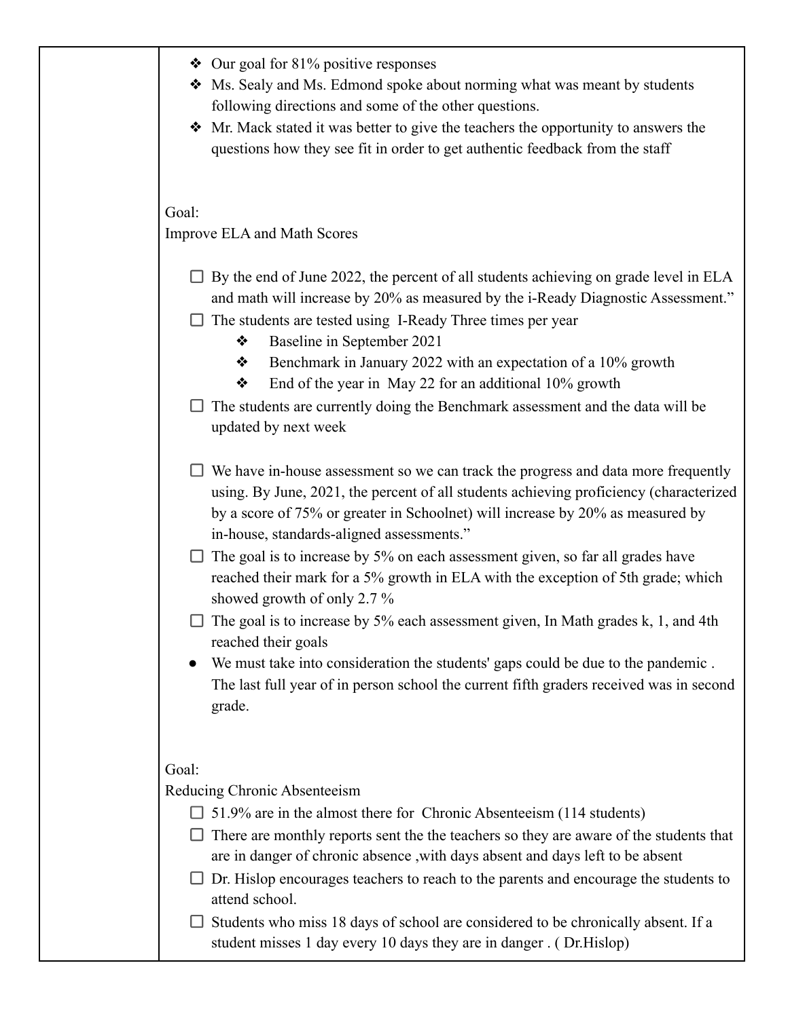| $\triangleleft$ Our goal for 81% positive responses<br>• Ms. Sealy and Ms. Edmond spoke about norming what was meant by students<br>following directions and some of the other questions.<br>• Mr. Mack stated it was better to give the teachers the opportunity to answers the<br>questions how they see fit in order to get authentic feedback from the staff                                                                                                                                                                                                                                                                                                                                                                                                                                                            |  |  |  |
|-----------------------------------------------------------------------------------------------------------------------------------------------------------------------------------------------------------------------------------------------------------------------------------------------------------------------------------------------------------------------------------------------------------------------------------------------------------------------------------------------------------------------------------------------------------------------------------------------------------------------------------------------------------------------------------------------------------------------------------------------------------------------------------------------------------------------------|--|--|--|
| Goal:<br><b>Improve ELA and Math Scores</b>                                                                                                                                                                                                                                                                                                                                                                                                                                                                                                                                                                                                                                                                                                                                                                                 |  |  |  |
| $\Box$ By the end of June 2022, the percent of all students achieving on grade level in ELA<br>and math will increase by 20% as measured by the i-Ready Diagnostic Assessment."<br>The students are tested using I-Ready Three times per year<br>Baseline in September 2021<br>❖<br>Benchmark in January 2022 with an expectation of a 10% growth<br>❖<br>End of the year in May 22 for an additional 10% growth<br>❖<br>The students are currently doing the Benchmark assessment and the data will be<br>updated by next week                                                                                                                                                                                                                                                                                             |  |  |  |
| We have in-house assessment so we can track the progress and data more frequently<br>using. By June, 2021, the percent of all students achieving proficiency (characterized<br>by a score of 75% or greater in Schoolnet) will increase by 20% as measured by<br>in-house, standards-aligned assessments."<br>$\Box$ The goal is to increase by 5% on each assessment given, so far all grades have<br>reached their mark for a 5% growth in ELA with the exception of 5th grade; which<br>showed growth of only 2.7 %<br>The goal is to increase by 5% each assessment given, In Math grades k, 1, and 4th<br>reached their goals<br>We must take into consideration the students' gaps could be due to the pandemic.<br>The last full year of in person school the current fifth graders received was in second<br>grade. |  |  |  |
| Goal:<br>Reducing Chronic Absenteeism<br>$\Box$ 51.9% are in the almost there for Chronic Absenteeism (114 students)<br>There are monthly reports sent the the teachers so they are aware of the students that<br>are in danger of chronic absence, with days absent and days left to be absent<br>Dr. Hislop encourages teachers to reach to the parents and encourage the students to<br>attend school.<br>Students who miss 18 days of school are considered to be chronically absent. If a<br>student misses 1 day every 10 days they are in danger. (Dr.Hislop)                                                                                                                                                                                                                                                        |  |  |  |